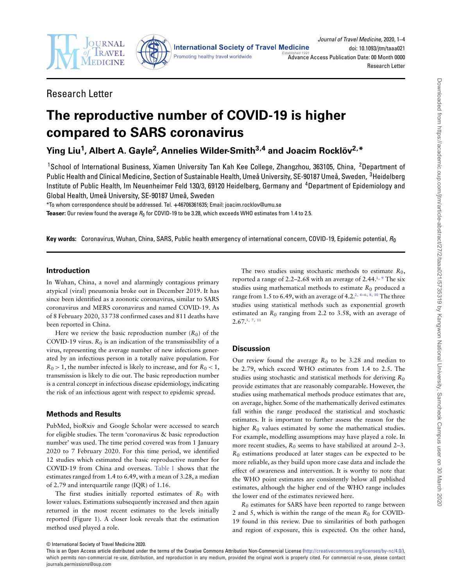



Journal of Travel Medicine, 2020, 1–4 doi: 10.1093/jtm/taaa021 [Advance A](http://www.oxfordjournals.org)ccess Publication Date: 00 Month 0000 Research Letter

## Research Letter

# **The reproductive number of COVID-19 is higher compared to SARS coronavirus**

**Ying Liu1, Albert A. Gayle2, Annelies Wilder-Smith3,4 and Joacim Rocklöv2,\***

<sup>1</sup>School of International Business, Xiamen University Tan Kah Kee College, Zhangzhou, 363105, China, <sup>2</sup>Department of Public Health and Clinical Medicine, Section of Sustainable Health, Umeå University, SE-90187 Umeå, Sweden, <sup>3</sup>Heidelberg Institute of Public Health, Im Neuenheimer Feld 130/3, 69120 Heidelberg, Germany and 4Department of Epidemiology and Global Health, Umeå University, SE-90187 Umeå, Sweden

\*To whom correspondence should be addressed. Tel. **+**46706361635; Email: joacim.rocklov@umu.se

**Teaser:** Our review found the average  $R_0$  for COVID-19 to be 3.28, which exceeds WHO estimates from 1.4 to 2.5.

**Key words:** Coronavirus, Wuhan, China, SARS, Public health emergency of international concern, COVID-19, Epidemic potential, R<sub>0</sub>

## **Introduction**

In Wuhan, China, a novel and alarmingly contagious primary atypical (viral) pneumonia broke out in December 2019. It has since been identified as a zoonotic coronavirus, similar to SARS coronavirus and MERS coronavirus and named COVID-19. As of 8 February 2020, 33 738 confirmed cases and 811 deaths have been reported in China.

Here we review the basic reproduction number  $(R_0)$  of the COVID-19 virus.  $R_0$  is an indication of the transmissibility of a virus, representing the average number of new infections generated by an infectious person in a totally naïve population. For  $R_0 > 1$ , the number infected is likely to increase, and for  $R_0 < 1$ , transmission is likely to die out. The basic reproduction number is a central concept in infectious disease epidemiology, indicating the risk of an infectious agent with respect to epidemic spread.

## **Methods and Results**

PubMed, bioRxiv and Google Scholar were accessed to search for eligible studies. The term 'coronavirus & basic reproduction number' was used. The time period covered was from 1 January 2020 to 7 February 2020. For this time period, we identified 12 studies which estimated the basic reproductive number for COVID-19 from China and overseas. [Table 1](#page-1-0) shows that the estimates ranged from 1.4 to 6.49, with a mean of 3.28, a median of 2.79 and interquartile range (IQR) of 1.16.

The first studies initially reported estimates of  $R_0$  with lower values. Estimations subsequently increased and then again returned in the most recent estimates to the levels initially reported (Figure 1). A closer look reveals that the estimation method used played a role.

The two studies using stochastic methods to estimate  $R_0$ , reported a range of 2.2–2.68 with an average of 2.44.**[1](#page-3-0)**, **[9](#page-3-1)** The six studies using mathematical methods to estimate  $R_0$  produced a range from 1.5 to 6.49, with an average of 4.2.**[2](#page-3-2)**, **[4](#page-3-3)**–**[6](#page-3-4)**, **[8](#page-3-5)**, **[10](#page-3-6)** The three studies using statistical methods such as exponential growth estimated an  $R_0$  ranging from 2.2 to 3.58, with an average of 2.67.**[3](#page-3-7)**, **[7](#page-3-8)**, **[11](#page-3-9)**

### **Discussion**

Our review found the average  $R_0$  to be 3.28 and median to be 2.79, which exceed WHO estimates from 1.4 to 2.5. The studies using stochastic and statistical methods for deriving  $R_0$ provide estimates that are reasonably comparable. However, the studies using mathematical methods produce estimates that are, on average, higher. Some of the mathematically derived estimates fall within the range produced the statistical and stochastic estimates. It is important to further assess the reason for the higher  $R_0$  values estimated by some the mathematical studies. For example, modelling assumptions may have played a role. In more recent studies,  $R_0$  seems to have stabilized at around 2–3.  $R_0$  estimations produced at later stages can be expected to be more reliable, as they build upon more case data and include the effect of awareness and intervention. It is worthy to note that the WHO point estimates are consistently below all published estimates, although the higher end of the WHO range includes the lower end of the estimates reviewed here.

 $R_0$  estimates for SARS have been reported to range between 2 and 5, which is within the range of the mean  $R_0$  for COVID-19 found in this review. Due to similarities of both pathogen and region of exposure, this is expected. On the other hand,

<sup>©</sup> International Society of Travel Medicine 2020.

This is an Open Access article distributed under the terms of the Creative Commons Attribution Non-Commercial License [\(http://creativecommons.org/licenses/by-nc/4.0/\)](http://creativecommons.org/licenses/by-nc/4.0/), which permits non-commercial re-use, distribution, and reproduction in any medium, provided the original work is properly cited. For commercial re-use, please contact journals.permissions@oup.com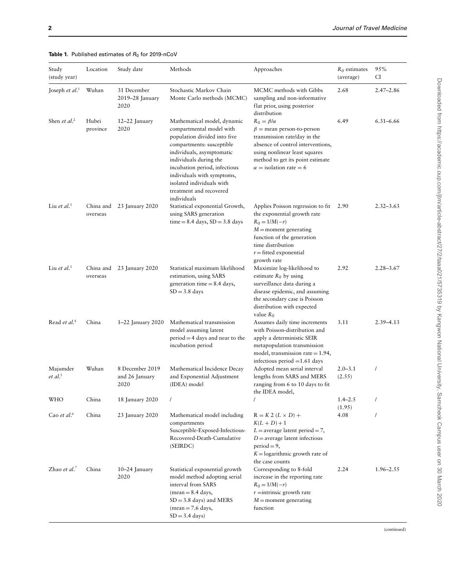<span id="page-1-0"></span>

| Study<br>(study year)              | Location              | Study date                                | Methods                                                                                                                                                                                                                                                                                                           | Approaches                                                                                                                                                                                                                         | $R_0$ estimates<br>(average) | 95%<br>CI     |
|------------------------------------|-----------------------|-------------------------------------------|-------------------------------------------------------------------------------------------------------------------------------------------------------------------------------------------------------------------------------------------------------------------------------------------------------------------|------------------------------------------------------------------------------------------------------------------------------------------------------------------------------------------------------------------------------------|------------------------------|---------------|
| Joseph <i>et al</i> . <sup>1</sup> | Wuhan                 | 31 December<br>2019-28 January<br>2020    | Stochastic Markov Chain<br>Monte Carlo methods (MCMC)                                                                                                                                                                                                                                                             | MCMC methods with Gibbs<br>sampling and non-informative<br>flat prior, using posterior<br>distribution                                                                                                                             | 2.68                         | $2.47 - 2.86$ |
| Shen <i>et al.</i> <sup>2</sup>    | Hubei<br>province     | $12-22$ January<br>2020                   | Mathematical model, dynamic<br>compartmental model with<br>population divided into five<br>compartments: susceptible<br>individuals, asymptomatic<br>individuals during the<br>incubation period, infectious<br>individuals with symptoms,<br>isolated individuals with<br>treatment and recovered<br>individuals | $R_0 = \beta/\alpha$<br>$\beta$ = mean person-to-person<br>transmission rate/day in the<br>absence of control interventions,<br>using nonlinear least squares<br>method to get its point estimate<br>$\alpha$ = isolation rate = 6 | 6.49                         | $6.31 - 6.66$ |
| Liu et al. $3$                     | China and<br>overseas | 23 January 2020                           | Statistical exponential Growth,<br>using SARS generation<br>$time = 8.4$ days, $SD = 3.8$ days                                                                                                                                                                                                                    | Applies Poisson regression to fit<br>the exponential growth rate<br>$R_0 = 1/M(-r)$<br>$M =$ moment generating<br>function of the generation<br>time distribution<br>$r =$ fitted exponential<br>growth rate                       | 2.90                         | $2.32 - 3.63$ |
| Liu et al. $3$                     | China and<br>overseas | 23 January 2020                           | Statistical maximum likelihood<br>estimation, using SARS<br>generation time $= 8.4$ days,<br>$SD = 3.8$ days                                                                                                                                                                                                      | Maximize log-likelihood to<br>estimate $R_0$ by using<br>surveillance data during a<br>disease epidemic, and assuming<br>the secondary case is Poisson<br>distribution with expected<br>value $R_0$                                | 2.92                         | $2.28 - 3.67$ |
| Read et al. <sup>4</sup>           | China                 | 1-22 January 2020                         | Mathematical transmission<br>model assuming latent<br>$period = 4$ days and near to the<br>incubation period                                                                                                                                                                                                      | Assumes daily time increments<br>with Poisson-distribution and<br>apply a deterministic SEIR<br>metapopulation transmission<br>model, transmission rate $= 1.94$ ,<br>infectious period $=1.61$ days                               | 3.11                         | $2.39 - 4.13$ |
| Majumder<br>$et$ al. <sup>5</sup>  | Wuhan                 | 8 December 2019<br>and 26 January<br>2020 | Mathematical Incidence Decay<br>and Exponential Adjustment<br>(IDEA) model                                                                                                                                                                                                                                        | Adopted mean serial interval<br>lengths from SARS and MERS<br>ranging from 6 to 10 days to fit<br>the IDEA model,                                                                                                                  | $2.0 - 3.1$<br>(2.55)        | $\prime$      |
| WHO                                | China                 | 18 January 2020                           | $\prime$                                                                                                                                                                                                                                                                                                          | $\sqrt{2}$                                                                                                                                                                                                                         | $1.4 - 2.5$<br>(1.95)        | $\prime$      |
| Cao et al. <sup>6</sup>            | China                 | 23 January 2020                           | Mathematical model including<br>compartments<br>Susceptible-Exposed-Infectious-<br>Recovered-Death-Cumulative<br>(SEIRDC)                                                                                                                                                                                         | $R = K 2 (L \times D) +$<br>$K(L + D) + 1$<br>$L$ = average latent period = 7,<br>$D$ = average latent infectious<br>$period = 9$ ,<br>$K =$ logarithmic growth rate of<br>the case counts                                         | 4.08                         | $\prime$      |
| Zhao et al. <sup>7</sup>           | China                 | $10-24$ January<br>2020                   | Statistical exponential growth<br>model method adopting serial<br>interval from SARS<br>$(\text{mean} = 8.4 \text{ days})$<br>$SD = 3.8$ days) and MERS<br>$(\text{mean} = 7.6 \text{ days})$<br>$SD = 3.4$ days)                                                                                                 | Corresponding to 8-fold<br>increase in the reporting rate<br>$R_0 = 1/M(-r)$<br>$r =$ intrinsic growth rate<br>$M =$ moment generating<br>function                                                                                 | 2.24                         | 1.96-2.55     |

(continued)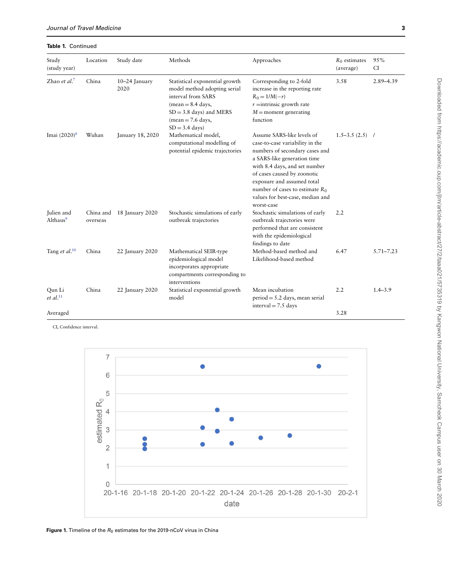| Study<br>(study year)              | Location              | Study date              | Methods                                                                                                                                                                                           | Approaches                                                                                                                                                                                                                                                                                                          | $R_0$ estimates<br>(average) | 95%<br>CI     |
|------------------------------------|-----------------------|-------------------------|---------------------------------------------------------------------------------------------------------------------------------------------------------------------------------------------------|---------------------------------------------------------------------------------------------------------------------------------------------------------------------------------------------------------------------------------------------------------------------------------------------------------------------|------------------------------|---------------|
| Zhao et al. $7$                    | China                 | $10-24$ January<br>2020 | Statistical exponential growth<br>model method adopting serial<br>interval from SARS<br>$mean = 8.4$ days,<br>$SD = 3.8$ days) and MERS<br>$(\text{mean} = 7.6 \text{ days})$<br>$SD = 3.4$ days) | Corresponding to 2-fold<br>increase in the reporting rate<br>$R_0 = 1/M(-r)$<br>$r =$ intrinsic growth rate<br>$M =$ moment generating<br>function                                                                                                                                                                  | 3.58                         | 2.89-4.39     |
| Imai $(2020)^8$                    | Wuhan                 | January 18, 2020        | Mathematical model,<br>computational modelling of<br>potential epidemic trajectories                                                                                                              | Assume SARS-like levels of<br>case-to-case variability in the<br>numbers of secondary cases and<br>a SARS-like generation time<br>with 8.4 days, and set number<br>of cases caused by zoonotic<br>exposure and assumed total<br>number of cases to estimate $R_0$<br>values for best-case, median and<br>worst-case | $1.5 - 3.5(2.5)$ /           |               |
| Julien and<br>Althaus <sup>9</sup> | China and<br>overseas | 18 January 2020         | Stochastic simulations of early<br>outbreak trajectories                                                                                                                                          | Stochastic simulations of early<br>outbreak trajectories were<br>performed that are consistent<br>with the epidemiological<br>findings to date                                                                                                                                                                      | 2.2                          |               |
| Tang et al. <sup>10</sup>          | China                 | 22 January 2020         | Mathematical SEIR-type<br>epidemiological model<br>incorporates appropriate<br>compartments corresponding to<br>interventions                                                                     | Method-based method and<br>Likelihood-based method                                                                                                                                                                                                                                                                  | 6.47                         | $5.71 - 7.23$ |
| Qun Li<br>$et$ al. $^{11}$         | China                 | 22 January 2020         | Statistical exponential growth<br>model                                                                                                                                                           | Mean incubation<br>$period = 5.2$ days, mean serial<br>interval = $7.5$ days                                                                                                                                                                                                                                        | 2.2                          | $1.4 - 3.9$   |
| Averaged                           |                       |                         |                                                                                                                                                                                                   |                                                                                                                                                                                                                                                                                                                     | 3.28                         |               |

Journal of Travel Medicine **3**

#### **Table 1.** Continued

CI, Confidence interval.



**Figure 1.** Timeline of the  $R_0$  estimates for the 2019-nCoV virus in China